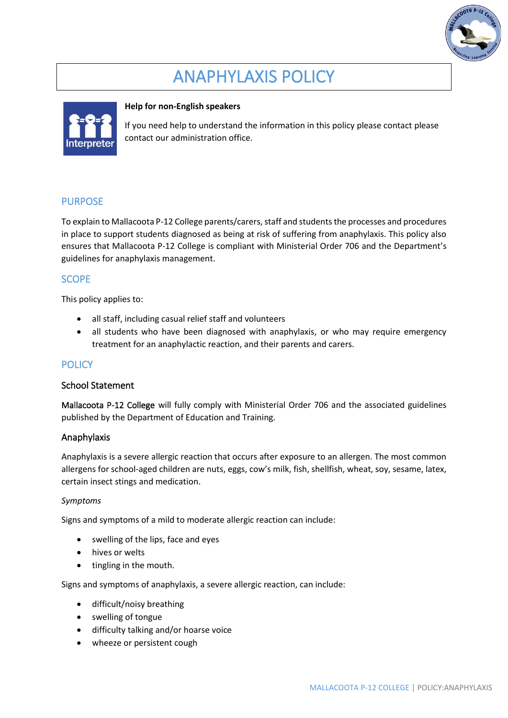

# ANAPHYLAXIS POLICY



#### **Help for non-English speakers**

If you need help to understand the information in this policy please contact please contact our administration office.

## PURPOSE

To explain to Mallacoota P-12 College parents/carers, staff and students the processes and procedures in place to support students diagnosed as being at risk of suffering from anaphylaxis. This policy also ensures that Mallacoota P-12 College is compliant with Ministerial Order 706 and the Department's guidelines for anaphylaxis management.

## **SCOPE**

This policy applies to:

- all staff, including casual relief staff and volunteers
- all students who have been diagnosed with anaphylaxis, or who may require emergency treatment for an anaphylactic reaction, and their parents and carers.

# **POLICY**

#### School Statement

Mallacoota P-12 College will fully comply with Ministerial Order 706 and the associated guidelines published by the Department of Education and Training.

#### Anaphylaxis

Anaphylaxis is a severe allergic reaction that occurs after exposure to an allergen. The most common allergens for school-aged children are nuts, eggs, cow's milk, fish, shellfish, wheat, soy, sesame, latex, certain insect stings and medication.

#### *Symptoms*

Signs and symptoms of a mild to moderate allergic reaction can include:

- swelling of the lips, face and eyes
- hives or welts
- tingling in the mouth.

Signs and symptoms of anaphylaxis, a severe allergic reaction, can include:

- difficult/noisy breathing
- swelling of tongue
- difficulty talking and/or hoarse voice
- wheeze or persistent cough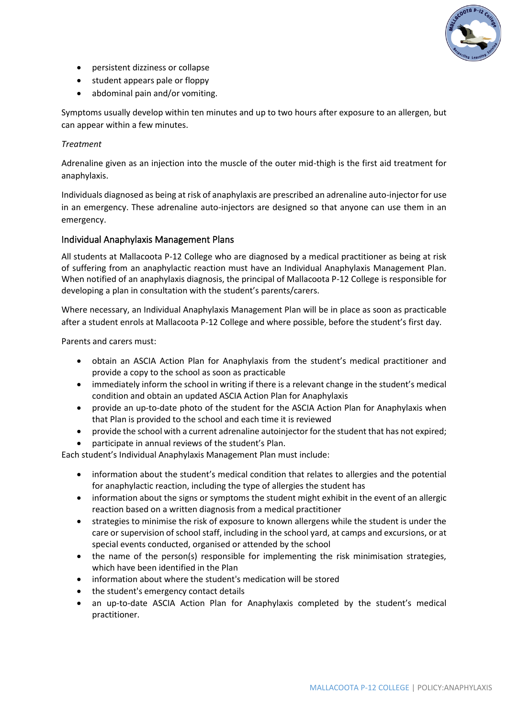

- persistent dizziness or collapse
- student appears pale or floppy
- abdominal pain and/or vomiting.

Symptoms usually develop within ten minutes and up to two hours after exposure to an allergen, but can appear within a few minutes.

#### *Treatment*

Adrenaline given as an injection into the muscle of the outer mid-thigh is the first aid treatment for anaphylaxis.

Individuals diagnosed as being at risk of anaphylaxis are prescribed an adrenaline auto-injector for use in an emergency. These adrenaline auto-injectors are designed so that anyone can use them in an emergency.

#### Individual Anaphylaxis Management Plans

All students at Mallacoota P-12 College who are diagnosed by a medical practitioner as being at risk of suffering from an anaphylactic reaction must have an Individual Anaphylaxis Management Plan. When notified of an anaphylaxis diagnosis, the principal of Mallacoota P-12 College is responsible for developing a plan in consultation with the student's parents/carers.

Where necessary, an Individual Anaphylaxis Management Plan will be in place as soon as practicable after a student enrols at Mallacoota P-12 College and where possible, before the student's first day.

Parents and carers must:

- obtain an ASCIA Action Plan for Anaphylaxis from the student's medical practitioner and provide a copy to the school as soon as practicable
- immediately inform the school in writing if there is a relevant change in the student's medical condition and obtain an updated ASCIA Action Plan for Anaphylaxis
- provide an up-to-date photo of the student for the ASCIA Action Plan for Anaphylaxis when that Plan is provided to the school and each time it is reviewed
- provide the school with a current adrenaline autoinjector for the student that has not expired;
- participate in annual reviews of the student's Plan.

Each student's Individual Anaphylaxis Management Plan must include:

- information about the student's medical condition that relates to allergies and the potential for anaphylactic reaction, including the type of allergies the student has
- information about the signs or symptoms the student might exhibit in the event of an allergic reaction based on a written diagnosis from a medical practitioner
- strategies to minimise the risk of exposure to known allergens while the student is under the care or supervision of school staff, including in the school yard, at camps and excursions, or at special events conducted, organised or attended by the school
- the name of the person(s) responsible for implementing the risk minimisation strategies, which have been identified in the Plan
- information about where the student's medication will be stored
- the student's emergency contact details
- an up-to-date ASCIA Action Plan for Anaphylaxis completed by the student's medical practitioner.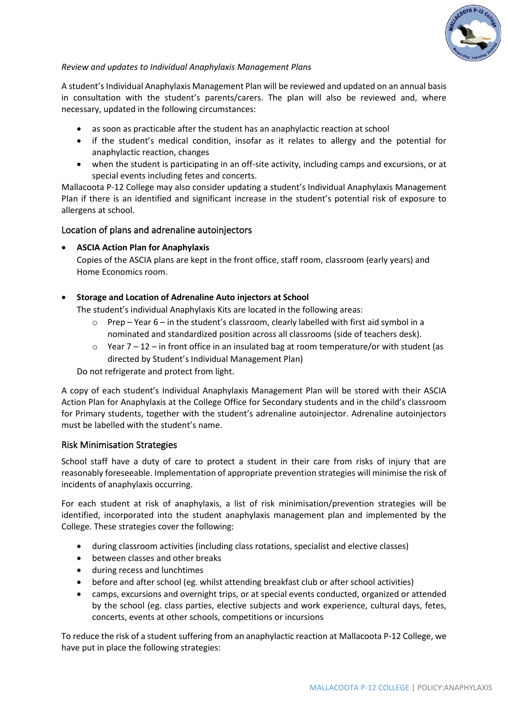

#### *Review and updates to Individual Anaphylaxis Management Plans*

A student's Individual Anaphylaxis Management Plan will be reviewed and updated on an annual basis in consultation with the student's parents/carers. The plan will also be reviewed and, where necessary, updated in the following circumstances:

- as soon as practicable after the student has an anaphylactic reaction at school
- if the student's medical condition, insofar as it relates to allergy and the potential for anaphylactic reaction, changes
- when the student is participating in an off-site activity, including camps and excursions, or at special events including fetes and concerts.

Mallacoota P-12 College may also consider updating a student's Individual Anaphylaxis Management Plan if there is an identified and significant increase in the student's potential risk of exposure to allergens at school.

#### Location of plans and adrenaline autoinjectors

#### • **ASCIA Action Plan for Anaphylaxis**

Copies of the ASCIA plans are kept in the front office, staff room, classroom (early years) and Home Economics room.

#### • **Storage and Location of Adrenaline Auto injectors at School**

The student's individual Anaphylaxis Kits are located in the following areas:

- $\circ$  Prep Year 6 in the student's classroom, clearly labelled with first aid symbol in a nominated and standardized position across all classrooms (side of teachers desk).
- $\circ$  Year 7 12 in front office in an insulated bag at room temperature/or with student (as directed by Student's Individual Management Plan)

Do not refrigerate and protect from light.

A copy of each student's Individual Anaphylaxis Management Plan will be stored with their ASCIA Action Plan for Anaphylaxis at the College Office for Secondary students and in the child's classroom for Primary students, together with the student's adrenaline autoinjector. Adrenaline autoinjectors must be labelled with the student's name.

#### Risk Minimisation Strategies

School staff have a duty of care to protect a student in their care from risks of injury that are reasonably foreseeable. Implementation of appropriate prevention strategies will minimise the risk of incidents of anaphylaxis occurring.

For each student at risk of anaphylaxis, a list of risk minimisation/prevention strategies will be identified, incorporated into the student anaphylaxis management plan and implemented by the College. These strategies cover the following:

- during classroom activities (including class rotations, specialist and elective classes)
- between classes and other breaks
- during recess and lunchtimes
- before and after school (eg. whilst attending breakfast club or after school activities)
- camps, excursions and overnight trips, or at special events conducted, organized or attended by the school (eg. class parties, elective subjects and work experience, cultural days, fetes, concerts, events at other schools, competitions or incursions

To reduce the risk of a student suffering from an anaphylactic reaction at Mallacoota P-12 College, we have put in place the following strategies: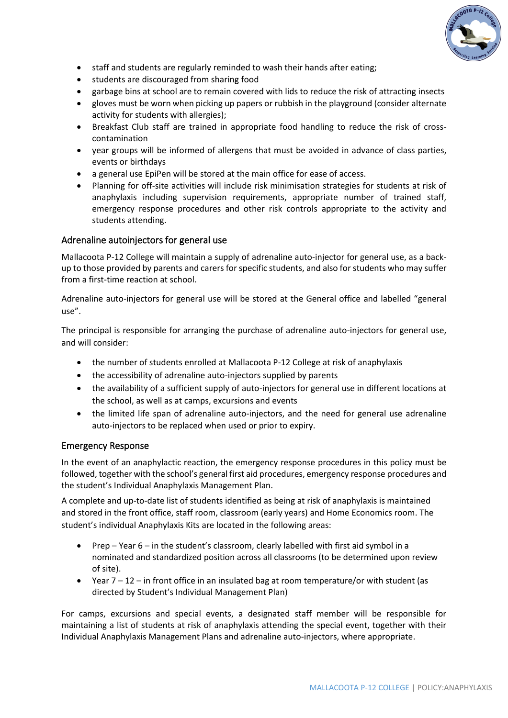

- staff and students are regularly reminded to wash their hands after eating;
- students are discouraged from sharing food
- garbage bins at school are to remain covered with lids to reduce the risk of attracting insects
- gloves must be worn when picking up papers or rubbish in the playground (consider alternate activity for students with allergies);
- Breakfast Club staff are trained in appropriate food handling to reduce the risk of crosscontamination
- year groups will be informed of allergens that must be avoided in advance of class parties, events or birthdays
- a general use EpiPen will be stored at the main office for ease of access.
- Planning for off-site activities will include risk minimisation strategies for students at risk of anaphylaxis including supervision requirements, appropriate number of trained staff, emergency response procedures and other risk controls appropriate to the activity and students attending.

#### Adrenaline autoinjectors for general use

Mallacoota P-12 College will maintain a supply of adrenaline auto-injector for general use, as a backup to those provided by parents and carers for specific students, and also for students who may suffer from a first-time reaction at school.

Adrenaline auto-injectors for general use will be stored at the General office and labelled "general use".

The principal is responsible for arranging the purchase of adrenaline auto-injectors for general use, and will consider:

- the number of students enrolled at Mallacoota P-12 College at risk of anaphylaxis
- the accessibility of adrenaline auto-injectors supplied by parents
- the availability of a sufficient supply of auto-injectors for general use in different locations at the school, as well as at camps, excursions and events
- the limited life span of adrenaline auto-injectors, and the need for general use adrenaline auto-injectors to be replaced when used or prior to expiry.

#### Emergency Response

In the event of an anaphylactic reaction, the emergency response procedures in this policy must be followed, together with the school's general first aid procedures, emergency response procedures and the student's Individual Anaphylaxis Management Plan.

A complete and up-to-date list of students identified as being at risk of anaphylaxis is maintained and stored in the front office, staff room, classroom (early years) and Home Economics room. The student's individual Anaphylaxis Kits are located in the following areas:

- Prep Year 6 in the student's classroom, clearly labelled with first aid symbol in a nominated and standardized position across all classrooms (to be determined upon review of site).
- Year 7 12 in front office in an insulated bag at room temperature/or with student (as directed by Student's Individual Management Plan)

For camps, excursions and special events, a designated staff member will be responsible for maintaining a list of students at risk of anaphylaxis attending the special event, together with their Individual Anaphylaxis Management Plans and adrenaline auto-injectors, where appropriate.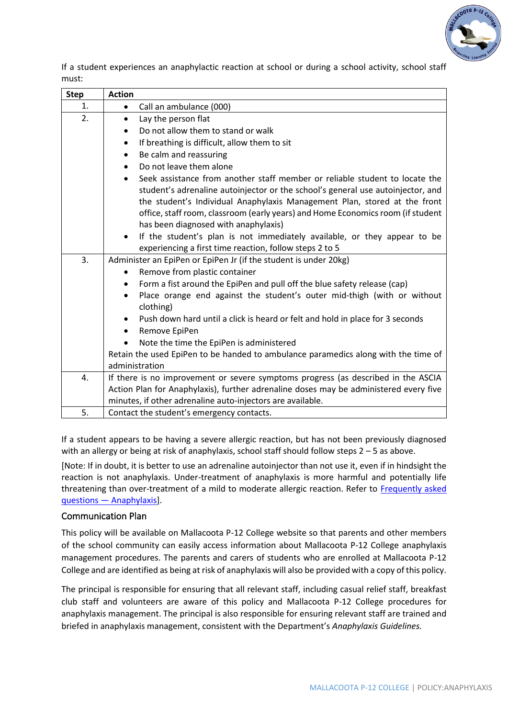

If a student experiences an anaphylactic reaction at school or during a school activity, school staff must:

| <b>Step</b> | <b>Action</b>                                                                                                                                                                                                                                                                                                                                                                       |
|-------------|-------------------------------------------------------------------------------------------------------------------------------------------------------------------------------------------------------------------------------------------------------------------------------------------------------------------------------------------------------------------------------------|
| 1.          | Call an ambulance (000)<br>$\bullet$                                                                                                                                                                                                                                                                                                                                                |
| 2.          | Lay the person flat<br>$\bullet$                                                                                                                                                                                                                                                                                                                                                    |
|             | Do not allow them to stand or walk                                                                                                                                                                                                                                                                                                                                                  |
|             | If breathing is difficult, allow them to sit<br>$\bullet$                                                                                                                                                                                                                                                                                                                           |
|             | Be calm and reassuring<br>٠                                                                                                                                                                                                                                                                                                                                                         |
|             | Do not leave them alone<br>$\bullet$                                                                                                                                                                                                                                                                                                                                                |
|             | Seek assistance from another staff member or reliable student to locate the<br>$\bullet$<br>student's adrenaline autoinjector or the school's general use autoinjector, and<br>the student's Individual Anaphylaxis Management Plan, stored at the front<br>office, staff room, classroom (early years) and Home Economics room (if student<br>has been diagnosed with anaphylaxis) |
|             | If the student's plan is not immediately available, or they appear to be<br>$\bullet$                                                                                                                                                                                                                                                                                               |
| 3.          | experiencing a first time reaction, follow steps 2 to 5                                                                                                                                                                                                                                                                                                                             |
|             | Administer an EpiPen or EpiPen Jr (if the student is under 20kg)<br>Remove from plastic container                                                                                                                                                                                                                                                                                   |
|             | $\bullet$<br>Form a fist around the EpiPen and pull off the blue safety release (cap)<br>٠                                                                                                                                                                                                                                                                                          |
|             | Place orange end against the student's outer mid-thigh (with or without<br>٠                                                                                                                                                                                                                                                                                                        |
|             | clothing)                                                                                                                                                                                                                                                                                                                                                                           |
|             | Push down hard until a click is heard or felt and hold in place for 3 seconds                                                                                                                                                                                                                                                                                                       |
|             | Remove EpiPen<br>٠                                                                                                                                                                                                                                                                                                                                                                  |
|             | Note the time the EpiPen is administered                                                                                                                                                                                                                                                                                                                                            |
|             | Retain the used EpiPen to be handed to ambulance paramedics along with the time of                                                                                                                                                                                                                                                                                                  |
|             | administration                                                                                                                                                                                                                                                                                                                                                                      |
| 4.          | If there is no improvement or severe symptoms progress (as described in the ASCIA                                                                                                                                                                                                                                                                                                   |
|             | Action Plan for Anaphylaxis), further adrenaline doses may be administered every five                                                                                                                                                                                                                                                                                               |
|             | minutes, if other adrenaline auto-injectors are available.                                                                                                                                                                                                                                                                                                                          |
| 5.          | Contact the student's emergency contacts.                                                                                                                                                                                                                                                                                                                                           |

If a student appears to be having a severe allergic reaction, but has not been previously diagnosed with an allergy or being at risk of anaphylaxis, school staff should follow steps 2 – 5 as above.

[Note: If in doubt, it is better to use an adrenaline autoinjector than not use it, even if in hindsight the reaction is not anaphylaxis. Under-treatment of anaphylaxis is more harmful and potentially life threatening than over-treatment of a mild to moderate allergic reaction. Refer to Frequently asked questions — [Anaphylaxis\]](https://nginx-php-content-policy-det-vic-gov-au-production.lagoon.vicsdp.amazee.io/sites/default/files/2020-03/anaphylaxis-faqs.docx).

#### Communication Plan

This policy will be available on Mallacoota P-12 College website so that parents and other members of the school community can easily access information about Mallacoota P-12 College anaphylaxis management procedures. The parents and carers of students who are enrolled at Mallacoota P-12 College and are identified as being at risk of anaphylaxis will also be provided with a copy of this policy.

The principal is responsible for ensuring that all relevant staff, including casual relief staff, breakfast club staff and volunteers are aware of this policy and Mallacoota P-12 College procedures for anaphylaxis management. The principal is also responsible for ensuring relevant staff are trained and briefed in anaphylaxis management, consistent with the Department's *Anaphylaxis Guidelines.*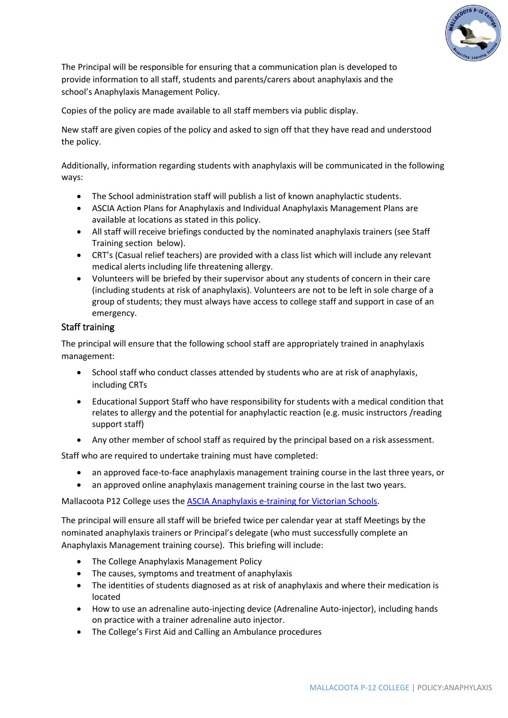

The Principal will be responsible for ensuring that a communication plan is developed to provide information to all staff, students and parents/carers about anaphylaxis and the school's Anaphylaxis Management Policy.

Copies of the policy are made available to all staff members via public display.

New staff are given copies of the policy and asked to sign off that they have read and understood the policy.

Additionally, information regarding students with anaphylaxis will be communicated in the following ways:

- The School administration staff will publish a list of known anaphylactic students.
- ASCIA Action Plans for Anaphylaxis and Individual Anaphylaxis Management Plans are available at locations as stated in this policy.
- All staff will receive briefings conducted by the nominated anaphylaxis trainers (see Staff Training section below).
- CRT's (Casual relief teachers) are provided with a class list which will include any relevant medical alerts including life threatening allergy.
- Volunteers will be briefed by their supervisor about any students of concern in their care (including students at risk of anaphylaxis). Volunteers are not to be left in sole charge of a group of students; they must always have access to college staff and support in case of an emergency.

### Staff training

The principal will ensure that the following school staff are appropriately trained in anaphylaxis management:

- School staff who conduct classes attended by students who are at risk of anaphylaxis, including CRTs
- Educational Support Staff who have responsibility for students with a medical condition that relates to allergy and the potential for anaphylactic reaction (e.g. music instructors /reading support staff)
- Any other member of school staff as required by the principal based on a risk assessment.

Staff who are required to undertake training must have completed:

- an approved face-to-face anaphylaxis management training course in the last three years, or
- an approved online anaphylaxis management training course in the last two years.

Mallacoota P12 College uses the [ASCIA Anaphylaxis e-training for Victorian](https://etrainingvic.allergy.org.au/) Schools.

The principal will ensure all staff will be briefed twice per calendar year at staff Meetings by the nominated anaphylaxis trainers or Principal's delegate (who must successfully complete an Anaphylaxis Management training course). This briefing will include:

- The College Anaphylaxis Management Policy
- The causes, symptoms and treatment of anaphylaxis
- The identities of students diagnosed as at risk of anaphylaxis and where their medication is located
- How to use an adrenaline auto-injecting device (Adrenaline Auto-injector), including hands on practice with a trainer adrenaline auto injector.
- The College's First Aid and Calling an Ambulance procedures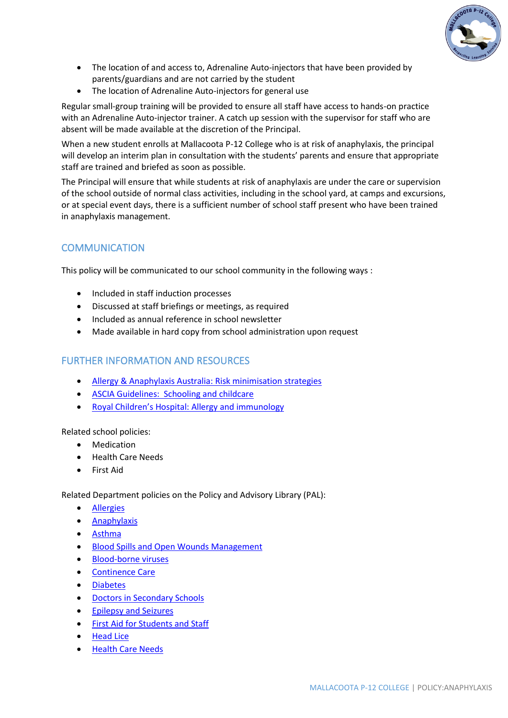

- The location of and access to, Adrenaline Auto-injectors that have been provided by parents/guardians and are not carried by the student
- The location of Adrenaline Auto-injectors for general use

Regular small-group training will be provided to ensure all staff have access to hands-on practice with an Adrenaline Auto-injector trainer. A catch up session with the supervisor for staff who are absent will be made available at the discretion of the Principal.

When a new student enrolls at Mallacoota P-12 College who is at risk of anaphylaxis, the principal will develop an interim plan in consultation with the students' parents and ensure that appropriate staff are trained and briefed as soon as possible.

The Principal will ensure that while students at risk of anaphylaxis are under the care or supervision of the school outside of normal class activities, including in the school yard, at camps and excursions, or at special event days, there is a sufficient number of school staff present who have been trained in anaphylaxis management.

# **COMMUNICATION**

This policy will be communicated to our school community in the following ways :

- Included in staff induction processes
- Discussed at staff briefings or meetings, as required
- Included as annual reference in school newsletter
- Made available in hard copy from school administration upon request

### FURTHER INFORMATION AND RESOURCES

- Allergy & Anaphylaxis Australia: [Risk minimisation strategies](https://edugate.eduweb.vic.gov.au/edulibrary/Schools/teachers/health/riskminimisation.pdf)
- ASCIA Guidelines: [Schooling and childcare](https://allergyfacts.org.au/allergy-management/schooling-childcare)
- Royal Children's Hospital: Allergy and immunology

Related school policies:

- Medication
- Health Care Needs
- First Aid

Related Department policies on the Policy and Advisory Library (PAL):

- [Allergies](https://www2.education.vic.gov.au/pal/allergies)
- [Anaphylaxis](https://www2.education.vic.gov.au/pal/anaphylaxis)
- [Asthma](https://www2.education.vic.gov.au/pal/asthma)
- [Blood Spills and Open Wounds Management](https://www2.education.vic.gov.au/pal/blood-spills-and-open-wounds-management)
- [Blood-borne viruses](https://www2.education.vic.gov.au/pal/blood-borne-viruses)
- [Continence Care](https://www2.education.vic.gov.au/pal/continence)
- [Diabetes](https://www2.education.vic.gov.au/pal/diabetes)
- [Doctors in Secondary Schools](https://www2.education.vic.gov.au/pal/doctors-secondary-schools)
- [Epilepsy and Seizures](https://www2.education.vic.gov.au/pal/epilepsy-and-seizures)
- [First Aid for Students and Staff](https://www2.education.vic.gov.au/pal/first-aid-students-and-staff)
- [Head Lice](https://www2.education.vic.gov.au/pal/head-lice)
- [Health Care Needs](https://www2.education.vic.gov.au/pal/health-care-needs)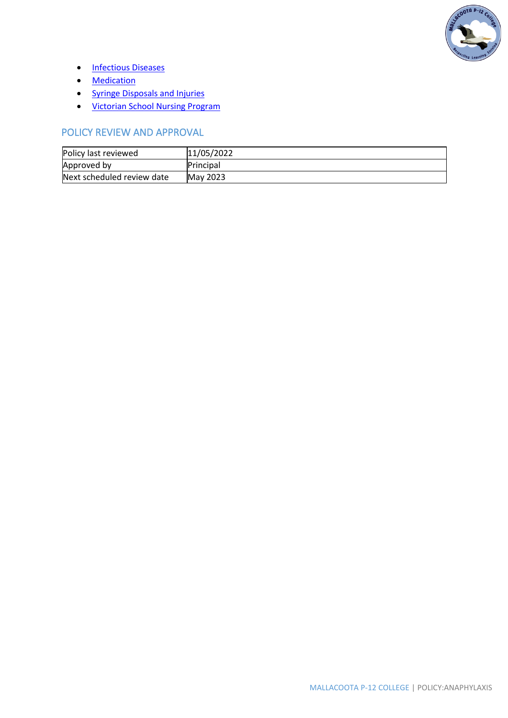

- [Infectious Diseases](https://www2.education.vic.gov.au/pal/infectious-diseases)
- [Medication](https://www2.education.vic.gov.au/pal/medication)
- [Syringe Disposals and Injuries](https://www2.education.vic.gov.au/pal/syringe-disposal)
- [Victorian School Nursing Program](https://www2.education.vic.gov.au/pal/victorian-school-nursing-program)

# POLICY REVIEW AND APPROVAL

| Policy last reviewed       | 11/05/2022      |
|----------------------------|-----------------|
| Approved by                | Principal       |
| Next scheduled review date | <b>May 2023</b> |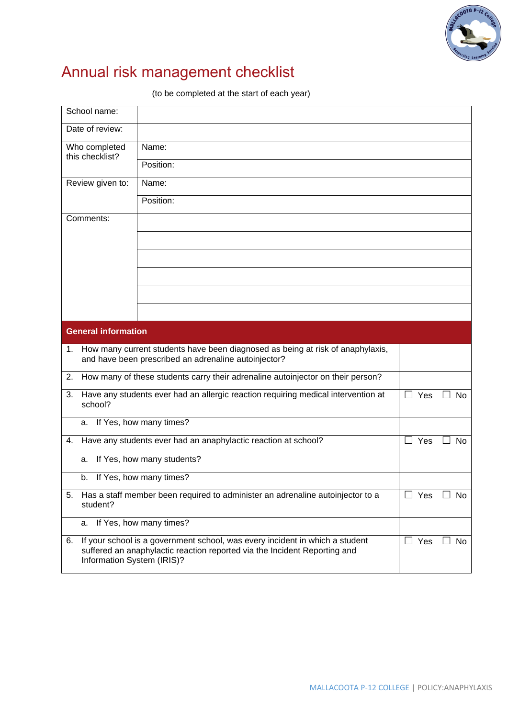

# Annual risk management checklist

(to be completed at the start of each year)

| School name:                                                                                                                                                                                                      |                                                                                                       |            |              |  |  |
|-------------------------------------------------------------------------------------------------------------------------------------------------------------------------------------------------------------------|-------------------------------------------------------------------------------------------------------|------------|--------------|--|--|
| Date of review:                                                                                                                                                                                                   |                                                                                                       |            |              |  |  |
| Who completed<br>this checklist?                                                                                                                                                                                  | Name:                                                                                                 |            |              |  |  |
|                                                                                                                                                                                                                   | Position:                                                                                             |            |              |  |  |
| Review given to:                                                                                                                                                                                                  | Name:                                                                                                 |            |              |  |  |
|                                                                                                                                                                                                                   | Position:                                                                                             |            |              |  |  |
| Comments:                                                                                                                                                                                                         |                                                                                                       |            |              |  |  |
|                                                                                                                                                                                                                   |                                                                                                       |            |              |  |  |
|                                                                                                                                                                                                                   |                                                                                                       |            |              |  |  |
|                                                                                                                                                                                                                   |                                                                                                       |            |              |  |  |
|                                                                                                                                                                                                                   |                                                                                                       |            |              |  |  |
|                                                                                                                                                                                                                   |                                                                                                       |            |              |  |  |
| <b>General information</b>                                                                                                                                                                                        |                                                                                                       |            |              |  |  |
| 1.                                                                                                                                                                                                                | How many current students have been diagnosed as being at risk of anaphylaxis,                        |            |              |  |  |
|                                                                                                                                                                                                                   | and have been prescribed an adrenaline autoinjector?                                                  |            |              |  |  |
| 2.                                                                                                                                                                                                                | How many of these students carry their adrenaline autoinjector on their person?                       |            |              |  |  |
| 3.<br>school?                                                                                                                                                                                                     | Have any students ever had an allergic reaction requiring medical intervention at<br>Yes<br><b>No</b> |            |              |  |  |
| а.                                                                                                                                                                                                                | If Yes, how many times?                                                                               |            |              |  |  |
| 4.                                                                                                                                                                                                                | Have any students ever had an anaphylactic reaction at school?                                        | $\Box$ Yes | <b>No</b>    |  |  |
| a.                                                                                                                                                                                                                | If Yes, how many students?                                                                            |            |              |  |  |
| b.                                                                                                                                                                                                                | If Yes, how many times?                                                                               |            |              |  |  |
| 5.<br>student?                                                                                                                                                                                                    | Has a staff member been required to administer an adrenaline autoinjector to a                        | Yes<br>ப   | No<br>$\Box$ |  |  |
| а.                                                                                                                                                                                                                | If Yes, how many times?                                                                               |            |              |  |  |
| If your school is a government school, was every incident in which a student<br>$\Box$ Yes<br>6.<br>No<br>suffered an anaphylactic reaction reported via the Incident Reporting and<br>Information System (IRIS)? |                                                                                                       |            |              |  |  |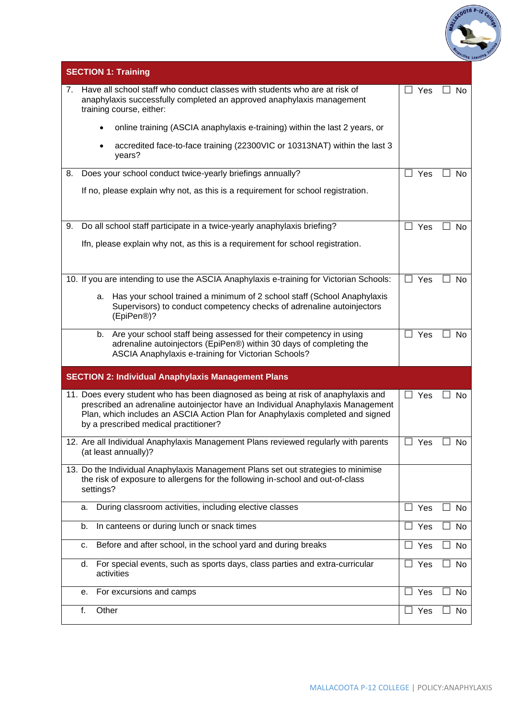

|    | <b>SECTION 1: Training</b>                                                                                                                                                                                                                                                                      |               |           |
|----|-------------------------------------------------------------------------------------------------------------------------------------------------------------------------------------------------------------------------------------------------------------------------------------------------|---------------|-----------|
| 7. | Have all school staff who conduct classes with students who are at risk of<br>anaphylaxis successfully completed an approved anaphylaxis management<br>training course, either:                                                                                                                 | Yes           | No        |
|    | online training (ASCIA anaphylaxis e-training) within the last 2 years, or                                                                                                                                                                                                                      |               |           |
|    | accredited face-to-face training (22300VIC or 10313NAT) within the last 3<br>years?                                                                                                                                                                                                             |               |           |
| 8. | Does your school conduct twice-yearly briefings annually?                                                                                                                                                                                                                                       | $\Box$ Yes    | <b>No</b> |
|    | If no, please explain why not, as this is a requirement for school registration.                                                                                                                                                                                                                |               |           |
| 9. | Do all school staff participate in a twice-yearly anaphylaxis briefing?                                                                                                                                                                                                                         | $\Box$ Yes    | No        |
|    | Ifn, please explain why not, as this is a requirement for school registration.                                                                                                                                                                                                                  |               |           |
|    | 10. If you are intending to use the ASCIA Anaphylaxis e-training for Victorian Schools:                                                                                                                                                                                                         | Yes<br>$\Box$ | <b>No</b> |
|    | Has your school trained a minimum of 2 school staff (School Anaphylaxis<br>а.<br>Supervisors) to conduct competency checks of adrenaline autoinjectors<br>(EpiPen®)?                                                                                                                            |               |           |
|    | Are your school staff being assessed for their competency in using<br>b.<br>adrenaline autoinjectors (EpiPen®) within 30 days of completing the<br>ASCIA Anaphylaxis e-training for Victorian Schools?                                                                                          | Yes           | No        |
|    | <b>SECTION 2: Individual Anaphylaxis Management Plans</b>                                                                                                                                                                                                                                       |               |           |
|    | 11. Does every student who has been diagnosed as being at risk of anaphylaxis and<br>prescribed an adrenaline autoinjector have an Individual Anaphylaxis Management<br>Plan, which includes an ASCIA Action Plan for Anaphylaxis completed and signed<br>by a prescribed medical practitioner? | $\Box$ Yes    | No        |
|    | 12. Are all Individual Anaphylaxis Management Plans reviewed regularly with parents<br>(at least annually)?                                                                                                                                                                                     | Yes           | No        |
|    | 13. Do the Individual Anaphylaxis Management Plans set out strategies to minimise<br>the risk of exposure to allergens for the following in-school and out-of-class<br>settings?                                                                                                                |               |           |
|    | During classroom activities, including elective classes<br>a.                                                                                                                                                                                                                                   | Yes<br>$\Box$ | No        |
|    | In canteens or during lunch or snack times<br>b.                                                                                                                                                                                                                                                | Yes           | No        |
|    | Before and after school, in the school yard and during breaks<br>c.                                                                                                                                                                                                                             | $\Box$ Yes    | No        |
|    | For special events, such as sports days, class parties and extra-curricular<br>d.<br>activities                                                                                                                                                                                                 | $\Box$ Yes    | No        |
|    | For excursions and camps<br>е.                                                                                                                                                                                                                                                                  | П<br>Yes      | No        |
|    | Other<br>f.                                                                                                                                                                                                                                                                                     | $\Box$ Yes    | No        |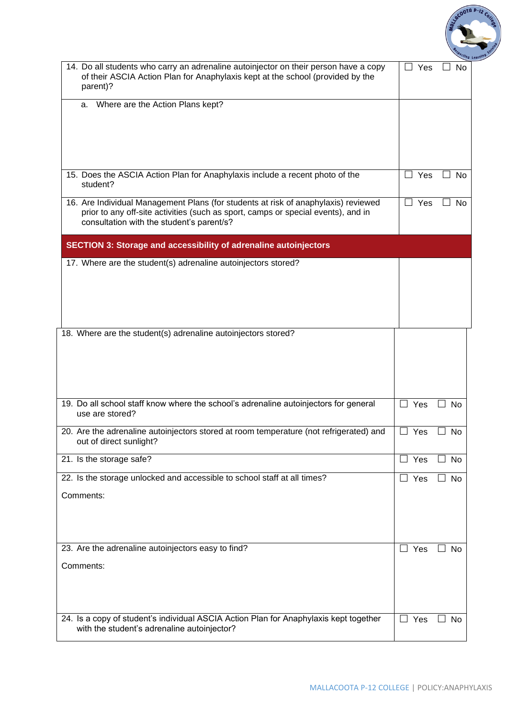

| 14. Do all students who carry an adrenaline autoinjector on their person have a copy<br>of their ASCIA Action Plan for Anaphylaxis kept at the school (provided by the<br>parent)?                                   | Yes<br>No                                |
|----------------------------------------------------------------------------------------------------------------------------------------------------------------------------------------------------------------------|------------------------------------------|
| Where are the Action Plans kept?<br>a.                                                                                                                                                                               |                                          |
| 15. Does the ASCIA Action Plan for Anaphylaxis include a recent photo of the<br>student?                                                                                                                             | $\Box$ Yes<br><b>No</b>                  |
| 16. Are Individual Management Plans (for students at risk of anaphylaxis) reviewed<br>prior to any off-site activities (such as sport, camps or special events), and in<br>consultation with the student's parent/s? | Yes<br><b>No</b>                         |
| <b>SECTION 3: Storage and accessibility of adrenaline autoinjectors</b>                                                                                                                                              |                                          |
| 17. Where are the student(s) adrenaline autoinjectors stored?                                                                                                                                                        |                                          |
| 18. Where are the student(s) adrenaline autoinjectors stored?                                                                                                                                                        |                                          |
| 19. Do all school staff know where the school's adrenaline autoinjectors for general<br>use are stored?                                                                                                              | $\Box$ Yes<br>No<br>$\perp$              |
| 20. Are the adrenaline autoinjectors stored at room temperature (not refrigerated) and<br>out of direct sunlight?                                                                                                    | $\Box$<br>Yes<br>$\vert \ \ \vert$<br>No |
| 21. Is the storage safe?                                                                                                                                                                                             | $\Box$ Yes<br>No                         |
| 22. Is the storage unlocked and accessible to school staff at all times?<br>Comments:                                                                                                                                | $\Box$ Yes<br>No<br>$\mathsf{L}$         |
| 23. Are the adrenaline autoinjectors easy to find?                                                                                                                                                                   | $\sqsupset$ Yes<br><b>No</b>             |
| Comments:                                                                                                                                                                                                            |                                          |
| 24. Is a copy of student's individual ASCIA Action Plan for Anaphylaxis kept together<br>with the student's adrenaline autoinjector?                                                                                 | Yes<br>$\Box$<br>No                      |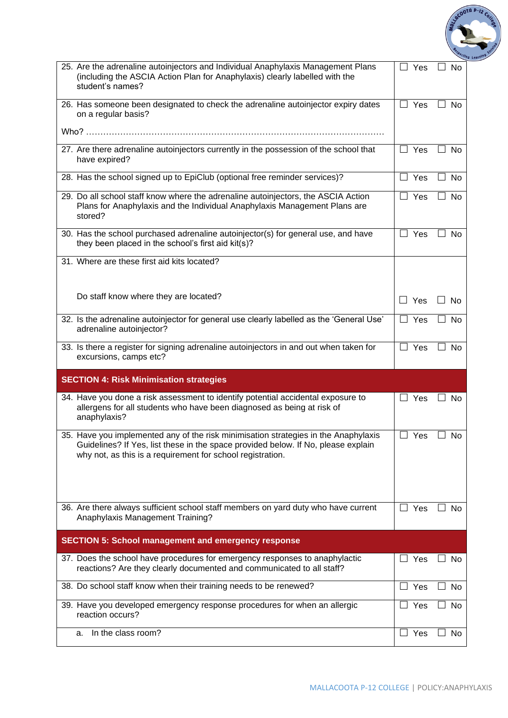

| 25. Are the adrenaline autoinjectors and Individual Anaphylaxis Management Plans<br>(including the ASCIA Action Plan for Anaphylaxis) clearly labelled with the<br>student's names?                                                    | Yes                 | No                                    |
|----------------------------------------------------------------------------------------------------------------------------------------------------------------------------------------------------------------------------------------|---------------------|---------------------------------------|
| 26. Has someone been designated to check the adrenaline autoinjector expiry dates<br>on a regular basis?                                                                                                                               | Yes                 | <b>No</b>                             |
|                                                                                                                                                                                                                                        |                     |                                       |
| 27. Are there adrenaline autoinjectors currently in the possession of the school that<br>have expired?                                                                                                                                 | $\Box$ Yes          | ∐ No                                  |
| 28. Has the school signed up to EpiClub (optional free reminder services)?                                                                                                                                                             | Yes<br>$\mathsf{L}$ | No                                    |
| 29. Do all school staff know where the adrenaline autoinjectors, the ASCIA Action<br>Plans for Anaphylaxis and the Individual Anaphylaxis Management Plans are<br>stored?                                                              | $\Box$ Yes          | No                                    |
| 30. Has the school purchased adrenaline autoinjector(s) for general use, and have<br>they been placed in the school's first aid kit(s)?                                                                                                | Yes                 | No                                    |
| 31. Where are these first aid kits located?                                                                                                                                                                                            |                     |                                       |
| Do staff know where they are located?                                                                                                                                                                                                  | $\Box$ Yes          | <b>No</b><br>$\overline{\phantom{a}}$ |
| 32. Is the adrenaline autoinjector for general use clearly labelled as the 'General Use'<br>adrenaline autoinjector?                                                                                                                   | $\Box$ Yes          | No                                    |
| 33. Is there a register for signing adrenaline autoinjectors in and out when taken for<br>excursions, camps etc?                                                                                                                       | Yes<br>$\perp$      | No                                    |
| <b>SECTION 4: Risk Minimisation strategies</b>                                                                                                                                                                                         |                     |                                       |
| 34. Have you done a risk assessment to identify potential accidental exposure to<br>allergens for all students who have been diagnosed as being at risk of<br>anaphylaxis?                                                             | $\Box$ Yes          | $\Box$ No                             |
| 35. Have you implemented any of the risk minimisation strategies in the Anaphylaxis<br>Guidelines? If Yes, list these in the space provided below. If No, please explain<br>why not, as this is a requirement for school registration. | Yes                 | No                                    |
| 36. Are there always sufficient school staff members on yard duty who have current<br>Anaphylaxis Management Training?                                                                                                                 | Yes<br>$\Box$       | No                                    |
| <b>SECTION 5: School management and emergency response</b>                                                                                                                                                                             |                     |                                       |
| 37. Does the school have procedures for emergency responses to anaphylactic<br>reactions? Are they clearly documented and communicated to all staff?                                                                                   | Yes                 | No                                    |
| 38. Do school staff know when their training needs to be renewed?                                                                                                                                                                      | Yes                 | No                                    |
| 39. Have you developed emergency response procedures for when an allergic<br>reaction occurs?                                                                                                                                          | Yes<br>$\Box$       | No                                    |
| In the class room?<br>а.                                                                                                                                                                                                               | $\Box$ Yes          | No                                    |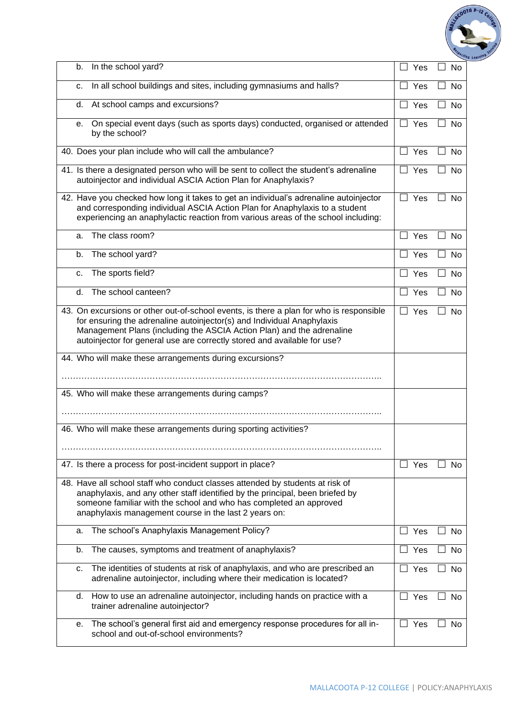

| b. | In the school yard?                                                                                                                                                                                                                                                                                                    | Yes                   | No                  |
|----|------------------------------------------------------------------------------------------------------------------------------------------------------------------------------------------------------------------------------------------------------------------------------------------------------------------------|-----------------------|---------------------|
| c. | In all school buildings and sites, including gymnasiums and halls?                                                                                                                                                                                                                                                     | Yes<br>$\Box$         | No                  |
| d. | At school camps and excursions?                                                                                                                                                                                                                                                                                        | Yes<br>$\mathbf{I}$   | No                  |
| е. | On special event days (such as sports days) conducted, organised or attended<br>by the school?                                                                                                                                                                                                                         | Yes<br>$\mathsf{L}$   | No                  |
|    | 40. Does your plan include who will call the ambulance?                                                                                                                                                                                                                                                                | Yes<br>$\Box$         | No                  |
|    | 41. Is there a designated person who will be sent to collect the student's adrenaline<br>autoinjector and individual ASCIA Action Plan for Anaphylaxis?                                                                                                                                                                | $\Box$ Yes            | <b>No</b><br>$\Box$ |
|    | 42. Have you checked how long it takes to get an individual's adrenaline autoinjector<br>and corresponding individual ASCIA Action Plan for Anaphylaxis to a student<br>experiencing an anaphylactic reaction from various areas of the school including:                                                              | $\Box$ Yes            | No                  |
| a. | The class room?                                                                                                                                                                                                                                                                                                        | $\Box$ Yes            | No                  |
| b. | The school yard?                                                                                                                                                                                                                                                                                                       | $\Box$ Yes            | No<br>$\mathsf{L}$  |
| C. | The sports field?                                                                                                                                                                                                                                                                                                      | $\Box$ Yes            | <b>No</b>           |
| d. | The school canteen?                                                                                                                                                                                                                                                                                                    | $\Box$ Yes            | No                  |
|    | 43. On excursions or other out-of-school events, is there a plan for who is responsible<br>for ensuring the adrenaline autoinjector(s) and Individual Anaphylaxis<br>Management Plans (including the ASCIA Action Plan) and the adrenaline<br>autoinjector for general use are correctly stored and available for use? | $\Box$ Yes            | $\Box$<br>No        |
|    |                                                                                                                                                                                                                                                                                                                        |                       |                     |
|    | 44. Who will make these arrangements during excursions?                                                                                                                                                                                                                                                                |                       |                     |
|    |                                                                                                                                                                                                                                                                                                                        |                       |                     |
|    | 45. Who will make these arrangements during camps?                                                                                                                                                                                                                                                                     |                       |                     |
|    |                                                                                                                                                                                                                                                                                                                        |                       |                     |
|    | 46. Who will make these arrangements during sporting activities?                                                                                                                                                                                                                                                       |                       |                     |
|    |                                                                                                                                                                                                                                                                                                                        |                       |                     |
|    | 47. Is there a process for post-incident support in place?                                                                                                                                                                                                                                                             | $\Box$ Yes            | No                  |
|    | 48. Have all school staff who conduct classes attended by students at risk of<br>anaphylaxis, and any other staff identified by the principal, been briefed by<br>someone familiar with the school and who has completed an approved<br>anaphylaxis management course in the last 2 years on:                          |                       |                     |
| a. | The school's Anaphylaxis Management Policy?                                                                                                                                                                                                                                                                            | Yes<br>$\Box$         | No                  |
| b. | The causes, symptoms and treatment of anaphylaxis?                                                                                                                                                                                                                                                                     | Yes<br>$\blacksquare$ | <b>No</b>           |
| c. | The identities of students at risk of anaphylaxis, and who are prescribed an<br>adrenaline autoinjector, including where their medication is located?                                                                                                                                                                  | Yes                   | No                  |
| d. | How to use an adrenaline autoinjector, including hands on practice with a<br>trainer adrenaline autoinjector?                                                                                                                                                                                                          | Yes<br>ப              | No                  |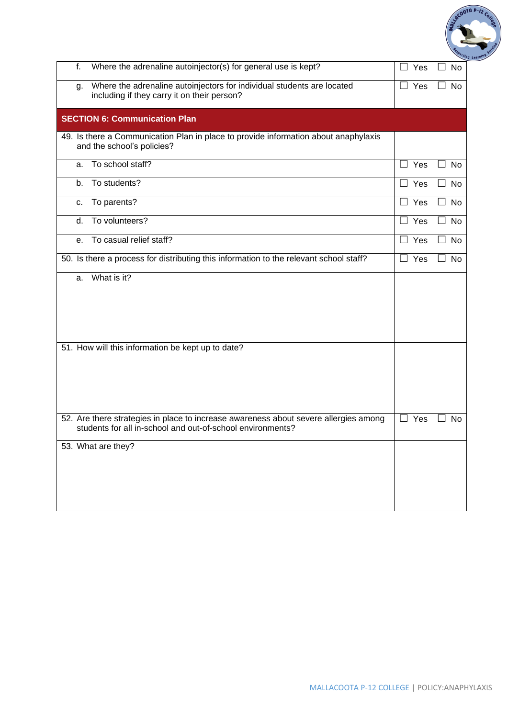

| f. | Where the adrenaline autoinjector(s) for general use is kept?                                                                                      | Yes                 | No                  |
|----|----------------------------------------------------------------------------------------------------------------------------------------------------|---------------------|---------------------|
| g. | Where the adrenaline autoinjectors for individual students are located<br>including if they carry it on their person?                              | $\Box$ Yes          | No                  |
|    | <b>SECTION 6: Communication Plan</b>                                                                                                               |                     |                     |
|    | 49. Is there a Communication Plan in place to provide information about anaphylaxis<br>and the school's policies?                                  |                     |                     |
| a. | To school staff?                                                                                                                                   | $\Box$ Yes          | <b>No</b><br>$\Box$ |
| b. | To students?                                                                                                                                       | $\Box$ Yes          | No<br>$\Box$        |
| c. | To parents?                                                                                                                                        | $\Box$<br>Yes       | <b>No</b>           |
| d. | To volunteers?                                                                                                                                     | Yes<br>٦            | No                  |
| е. | To casual relief staff?                                                                                                                            | $\Box$ Yes          | No<br>$\Box$        |
|    | 50. Is there a process for distributing this information to the relevant school staff?                                                             | Yes<br>$\perp$      | <b>No</b>           |
| a. | What is it?                                                                                                                                        |                     |                     |
|    | 51. How will this information be kept up to date?                                                                                                  |                     |                     |
|    | 52. Are there strategies in place to increase awareness about severe allergies among<br>students for all in-school and out-of-school environments? | Yes<br>$\mathsf{L}$ | No                  |
|    | 53. What are they?                                                                                                                                 |                     |                     |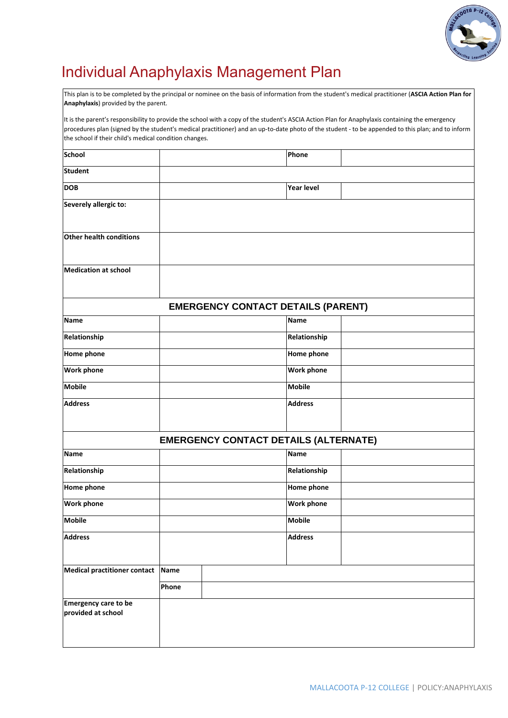

# Individual Anaphylaxis Management Plan

This plan is to be completed by the principal or nominee on the basis of information from the student's medical practitioner (**ASCIA Action Plan for Anaphylaxis**) provided by the parent.

It is the parent's responsibility to provide the school with a copy of the student's ASCIA Action Plan for Anaphylaxis containing the emergency procedures plan (signed by the student's medical practitioner) and an up-to-date photo of the student - to be appended to this plan; and to inform the school if their child's medical condition changes.

| <b>School</b>                              |             |                                              | Phone             |  |
|--------------------------------------------|-------------|----------------------------------------------|-------------------|--|
| <b>Student</b>                             |             |                                              |                   |  |
| <b>DOB</b>                                 |             |                                              | <b>Year level</b> |  |
| Severely allergic to:                      |             |                                              |                   |  |
| Other health conditions                    |             |                                              |                   |  |
| <b>Medication at school</b>                |             |                                              |                   |  |
|                                            |             | <b>EMERGENCY CONTACT DETAILS (PARENT)</b>    |                   |  |
| <b>Name</b>                                |             |                                              | <b>Name</b>       |  |
| Relationship                               |             |                                              | Relationship      |  |
| Home phone                                 |             |                                              | Home phone        |  |
| <b>Work phone</b>                          |             |                                              | <b>Work phone</b> |  |
| <b>Mobile</b>                              |             |                                              | <b>Mobile</b>     |  |
| <b>Address</b>                             |             |                                              | <b>Address</b>    |  |
|                                            |             | <b>EMERGENCY CONTACT DETAILS (ALTERNATE)</b> |                   |  |
| <b>Name</b>                                |             |                                              | <b>Name</b>       |  |
| Relationship                               |             |                                              | Relationship      |  |
| <b>Home phone</b>                          |             |                                              | Home phone        |  |
| <b>Work phone</b>                          |             |                                              | <b>Work phone</b> |  |
| <b>Mobile</b>                              |             |                                              | <b>Mobile</b>     |  |
| <b>Address</b>                             |             |                                              | <b>Address</b>    |  |
| <b>Medical practitioner contact</b>        | <b>Name</b> |                                              |                   |  |
|                                            | Phone       |                                              |                   |  |
| Emergency care to be<br>provided at school |             |                                              |                   |  |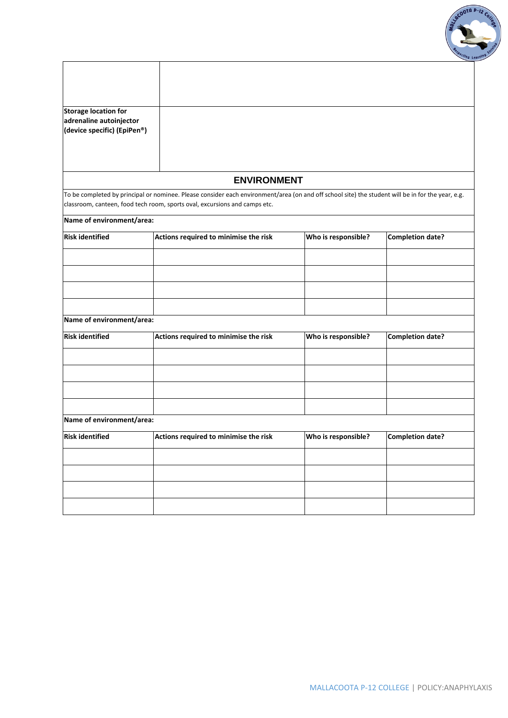

| <b>Storage location for</b><br>adrenaline autoinjector<br>(device specific) (EpiPen®) |                                                                                                                                                                                                                                 |                     |                         |
|---------------------------------------------------------------------------------------|---------------------------------------------------------------------------------------------------------------------------------------------------------------------------------------------------------------------------------|---------------------|-------------------------|
|                                                                                       |                                                                                                                                                                                                                                 |                     |                         |
|                                                                                       | <b>ENVIRONMENT</b>                                                                                                                                                                                                              |                     |                         |
|                                                                                       | To be completed by principal or nominee. Please consider each environment/area (on and off school site) the student will be in for the year, e.g.<br>classroom, canteen, food tech room, sports oval, excursions and camps etc. |                     |                         |
| Name of environment/area:                                                             |                                                                                                                                                                                                                                 |                     |                         |
| <b>Risk identified</b>                                                                | Actions required to minimise the risk                                                                                                                                                                                           | Who is responsible? | <b>Completion date?</b> |
|                                                                                       |                                                                                                                                                                                                                                 |                     |                         |
|                                                                                       |                                                                                                                                                                                                                                 |                     |                         |
|                                                                                       |                                                                                                                                                                                                                                 |                     |                         |
|                                                                                       |                                                                                                                                                                                                                                 |                     |                         |
| Name of environment/area:                                                             |                                                                                                                                                                                                                                 |                     |                         |
| <b>Risk identified</b>                                                                | Actions required to minimise the risk                                                                                                                                                                                           | Who is responsible? | <b>Completion date?</b> |
|                                                                                       |                                                                                                                                                                                                                                 |                     |                         |
|                                                                                       |                                                                                                                                                                                                                                 |                     |                         |
|                                                                                       |                                                                                                                                                                                                                                 |                     |                         |
|                                                                                       |                                                                                                                                                                                                                                 |                     |                         |
| Name of environment/area:                                                             |                                                                                                                                                                                                                                 |                     |                         |
| <b>Risk identified</b>                                                                | Actions required to minimise the risk                                                                                                                                                                                           | Who is responsible? | <b>Completion date?</b> |
|                                                                                       |                                                                                                                                                                                                                                 |                     |                         |
|                                                                                       |                                                                                                                                                                                                                                 |                     |                         |
|                                                                                       |                                                                                                                                                                                                                                 |                     |                         |
|                                                                                       |                                                                                                                                                                                                                                 |                     |                         |